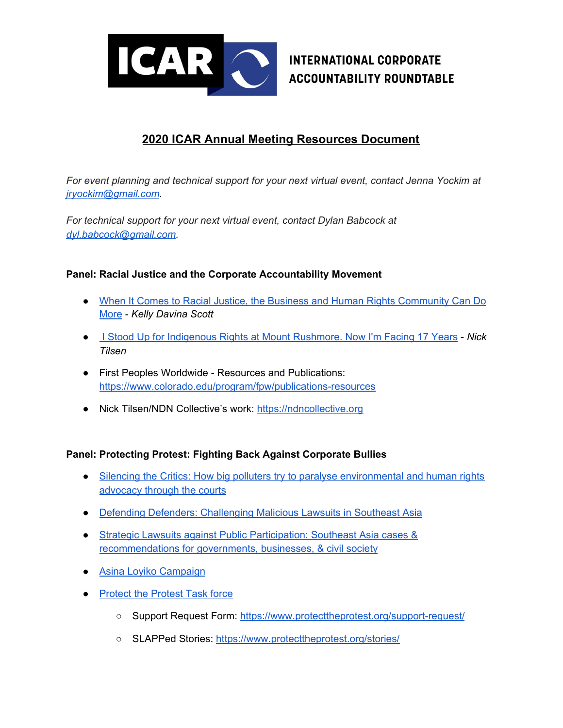

# **INTERNATIONAL CORPORATE ACCOUNTABILITY ROUNDTABLE**

## **2020 ICAR Annual Meeting Resources Document**

*For event planning and technical support for your next virtual event, contact Jenna Yockim at [jryockim@gmail.com](mailto:jryockim@gmail.com).*

*For technical support for your next virtual event, contact Dylan Babcock at [dyl.babcock@gmail.com](mailto:dyl.babcock@gmail.com).*

### **Panel: Racial Justice and the Corporate Accountability Movement**

- When It Comes to Racial Justice, the Business and Human Rights [Community](https://www.ihrb.org/focus-areas/non-discrimination/commentary-blm-bhr) Can Do [More](https://www.ihrb.org/focus-areas/non-discrimination/commentary-blm-bhr) - *Kelly Davina Scott*
- I Stood Up for [Indigenous](https://www.newsweek.com/i-stood-indigenous-rights-mount-rushmore-now-im-facing-17-years-opinion-1526763) Rights at Mount Rushmore. Now I'm Facing 17 Years *Nick Tilsen*
- First Peoples Worldwide Resources and Publications: <https://www.colorado.edu/program/fpw/publications-resources>
- Nick Tilsen/NDN Collective's work: [https://ndncollective.org](https://ndncollective.org/)

### **Panel: Protecting Protest: Fighting Back Against Corporate Bullies**

- Silencing the Critics: How big polluters try to paralyse [environmental](https://media.business-humanrights.org/media/documents/files/Big_Polluters_and_SLAPPs_Briefing_FINAL.pdf) and human rights [advocacy](https://media.business-humanrights.org/media/documents/files/Big_Polluters_and_SLAPPs_Briefing_FINAL.pdf) through the courts
- Defending Defenders: [Challenging](https://www.business-humanrights.org/en/from-us/briefings/defending-defenders-challenging-malicious-lawsuits-in-southeast-asia/) Malicious Lawsuits in Southeast Asia
- Strategic Lawsuits against Public [Participation:](https://www.business-humanrights.org/en/from-us/briefings/strategic-lawsuits-against-public-participation-southeast-asia-cases-recommendations-for-governments-businesses-civil-society/) Southeast Asia cases & [recommendations](https://www.business-humanrights.org/en/from-us/briefings/strategic-lawsuits-against-public-participation-southeast-asia-cases-recommendations-for-governments-businesses-civil-society/) for governments, businesses, & civil society
- Asina Loyiko [Campaign](https://cer.org.za/programmes/corporate-accountability/27505-2)
- [Protect](https://www.protecttheprotest.org/) the Protest Task force
	- Support Request Form: <https://www.protecttheprotest.org/support-request/>
	- SLAPPed Stories: <https://www.protecttheprotest.org/stories/>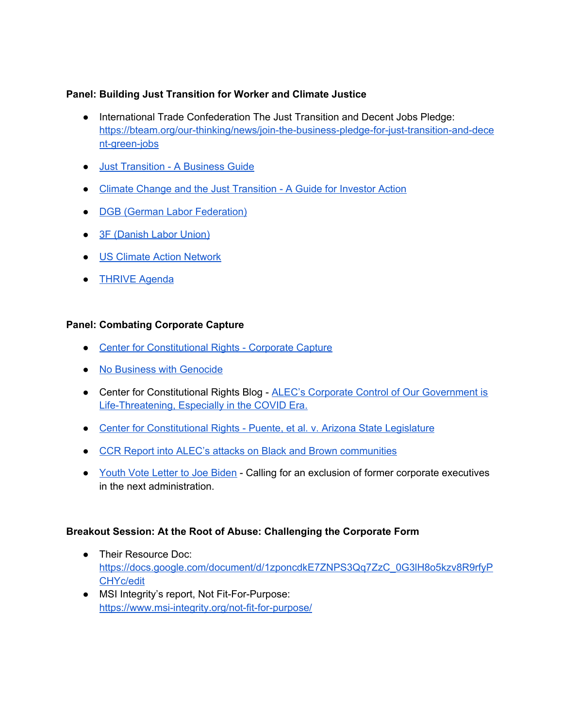### **Panel: Building Just Transition for Worker and Climate Justice**

- International Trade Confederation The Just Transition and Decent Jobs Pledge: [https://bteam.org/our-thinking/news/join-the-business-pledge-for-just-transition-and-dece](https://bteam.org/our-thinking/news/join-the-business-pledge-for-just-transition-and-decent-green-jobs) [nt-green-jobs](https://bteam.org/our-thinking/news/join-the-business-pledge-for-just-transition-and-decent-green-jobs)
- Just [Transition](https://www.ituc-csi.org/IMG/pdf/just_transition_-_a_business_guide.pdf) A Business Guide
- Climate Change and the Just [Transition](https://iri.hks.harvard.edu/files/iri/files/jtguidanceforinvestors.pdf?m=1554219326) A Guide for Investor Action
- DGB (German Labor [Federation\)](https://www.dgb.de/themen/++co++5ce061b8-16a6-11ea-a36d-52540088cada)
- 3F [\(Danish](https://www.groennejob.dk/dokumenter/documents) Labor Union)
- US Climate Action [Network](https://www.usclimatenetwork.org/news-room?)
- [THRIVE](https://static1.squarespace.com/static/5f53b5996b708446acb296c5/t/5f596f847cd042259067e795/1599696773913/THRIVE+resolution+CLEAN.pdf) Agenda

### **Panel: Combating Corporate Capture**

- Center for [Constitutional](https://ccrjustice.org/Corporate-Capture) Rights Corporate Capture
- No Business with [Genocide](http://www.rohingyacampaign.org/nbwg.html)
- Center for Constitutional Rights Blog ALEC's Corporate Control of Our [Government](https://ccrjustice.org/home/blog/2020/05/08/alec-s-corporate-control-our-government-life-threatening-especially-covid-era) is [Life-Threatening,](https://ccrjustice.org/home/blog/2020/05/08/alec-s-corporate-control-our-government-life-threatening-especially-covid-era) Especially in the COVID Era.
- Center for [Constitutional](https://ccrjustice.org/home/what-we-do/our-cases/puente-et-al-v-arizona-state-legislature) Rights Puente, et al. v. Arizona State Legislature
- CCR Report into ALEC's attacks on Black and Brown [communities](https://www.alecattacks.org/)
- [Youth](https://36idp73l9pta25627q676bwt-wpengine.netdna-ssl.com/wp-content/uploads/2020/04/youthvote-Letter-to-Joe-Biden.pdf) Vote Letter to Joe Biden Calling for an exclusion of former corporate executives in the next administration.

### **Breakout Session: At the Root of Abuse: Challenging the Corporate Form**

- Their Resource Doc: [https://docs.google.com/document/d/1zponcdkE7ZNPS3Qq7ZzC\\_0G3lH8o5kzv8R9rfyP](https://docs.google.com/document/d/1zponcdkE7ZNPS3Qq7ZzC_0G3lH8o5kzv8R9rfyPCHYc/edit) [CHYc/edit](https://docs.google.com/document/d/1zponcdkE7ZNPS3Qq7ZzC_0G3lH8o5kzv8R9rfyPCHYc/edit)
- MSI Integrity's report, Not Fit-For-Purpose: <https://www.msi-integrity.org/not-fit-for-purpose/>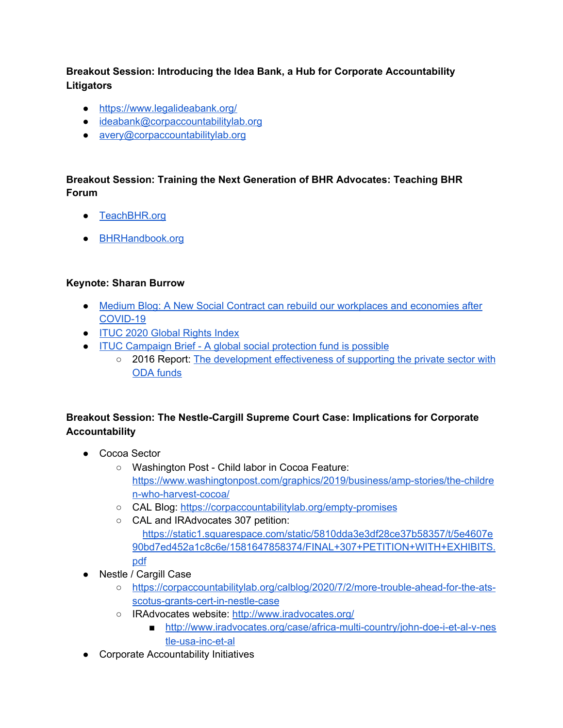**Breakout Session: Introducing the Idea Bank, a Hub for Corporate Accountability Litigators**

- <https://www.legalideabank.org/>
- [ideabank@corpaccountabilitylab.org](mailto:ideabank@corpaccountabilitylab.org)
- [avery@corpaccountabilitylab.org](mailto:avery@corpaccountabilitylab.org)

### **Breakout Session: Training the Next Generation of BHR Advocates: Teaching BHR Forum**

- [TeachBHR.org](https://teachbhr.org/)
- [BHRHandbook.org](https://teachbhr.org/resources/teaching-bhr-handbook/)

### **Keynote: Sharan Burrow**

- Medium Blog: A New Social Contract can rebuild our [workplaces](https://medium.com/@SharanBurrow/a-new-social-contract-can-rebuild-our-workplaces-and-economies-after-covid-19-82b52e510ec3) and economies after [COVID-19](https://medium.com/@SharanBurrow/a-new-social-contract-can-rebuild-our-workplaces-and-economies-after-covid-19-82b52e510ec3)
- ITUC 2020 [Global](https://www.ituc-csi.org/ituc-global-rights-index-2020) Rights Index
- ITUC [Campaign](https://www.ituc-csi.org/global-social-protection-fund) Brief A global social protection fund is possible
	- 2016 Report: The development [effectiveness](https://www.ituc-csi.org/DFI-study) of supporting the private sector with ODA [funds](https://www.ituc-csi.org/DFI-study)

### **Breakout Session: The Nestle-Cargill Supreme Court Case: Implications for Corporate Accountability**

- Cocoa Sector
	- Washington Post Child labor in Cocoa Feature: [https://www.washingtonpost.com/graphics/2019/business/amp-stories/the-childre](https://www.washingtonpost.com/graphics/2019/business/amp-stories/the-children-who-harvest-cocoa/) [n-who-harvest-cocoa/](https://www.washingtonpost.com/graphics/2019/business/amp-stories/the-children-who-harvest-cocoa/)
	- CAL Blog: <https://corpaccountabilitylab.org/empty-promises>
	- CAL and IRAdvocates 307 petition: [https://static1.squarespace.com/static/5810dda3e3df28ce37b58357/t/5e4607e](https://static1.squarespace.com/static/5810dda3e3df28ce37b58357/t/5e4607e90bd7ed452a1c8c6e/1581647858374/FINAL+307+PETITION+WITH+EXHIBITS.pdf) [90bd7ed452a1c8c6e/1581647858374/FINAL+307+PETITION+WITH+EXHIBITS.](https://static1.squarespace.com/static/5810dda3e3df28ce37b58357/t/5e4607e90bd7ed452a1c8c6e/1581647858374/FINAL+307+PETITION+WITH+EXHIBITS.pdf) [pdf](https://static1.squarespace.com/static/5810dda3e3df28ce37b58357/t/5e4607e90bd7ed452a1c8c6e/1581647858374/FINAL+307+PETITION+WITH+EXHIBITS.pdf)
- Nestle / Cargill Case
	- [https://corpaccountabilitylab.org/calblog/2020/7/2/more-trouble-ahead-for-the-ats](https://corpaccountabilitylab.org/calblog/2020/7/2/more-trouble-ahead-for-the-ats-scotus-grants-cert-in-nestle-case)[scotus-grants-cert-in-nestle-case](https://corpaccountabilitylab.org/calblog/2020/7/2/more-trouble-ahead-for-the-ats-scotus-grants-cert-in-nestle-case)
	- o IRAdvocates website: <http://www.iradvocates.org/>
		- [http://www.iradvocates.org/case/africa-multi-country/john-doe-i-et-al-v-nes](http://www.iradvocates.org/case/africa-multi-country/john-doe-i-et-al-v-nestle-usa-inc-et-al) [tle-usa-inc-et-al](http://www.iradvocates.org/case/africa-multi-country/john-doe-i-et-al-v-nestle-usa-inc-et-al)
- Corporate Accountability Initiatives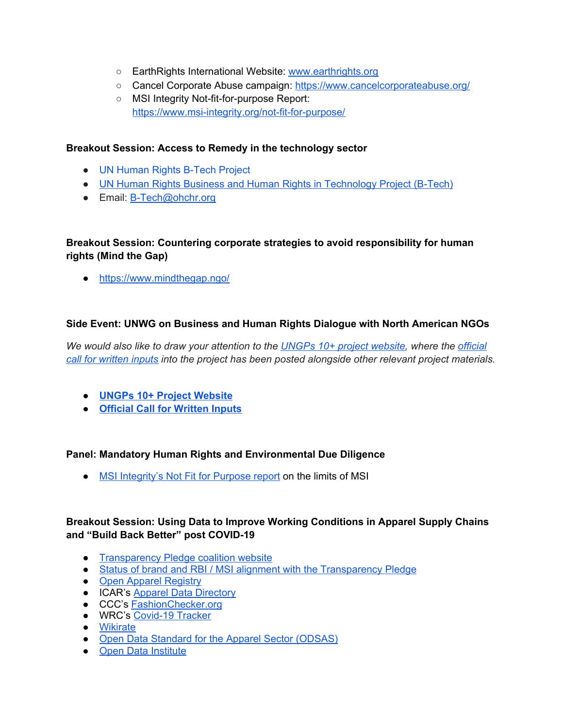- EarthRights International Website: [www.earthrights.org](http://www.earthrights.org/)
- Cancel Corporate Abuse campaign: <https://www.cancelcorporateabuse.org/>
- MSI Integrity Not-fit-for-purpose Report: <https://www.msi-integrity.org/not-fit-for-purpose/>

#### **Breakout Session: Access to Remedy in the technology sector**

- UN [Human](https://www.ohchr.org/EN/Issues/Business/Pages/B-TechProject.aspx) Rights B-Tech Project
- UN Human Rights Business and Human Rights in [Technology](https://www.ohchr.org/Documents/Issues/Business/B-Tech/B_Tech_Project_revised_scoping_final.pdf) Project (B-Tech)
- Email: [B-Tech@ohchr.org](mailto:B-Tech@ohchr.org)

### **Breakout Session: Countering corporate strategies to avoid responsibility for human rights (Mind the Gap)**

● <https://www.mindthegap.ngo/>

### **Side Event: UNWG on Business and Human Rights Dialogue with North American NGOs**

*We would also like to draw your attention to the UNGPs 10+ project [website,](https://www.ohchr.org/EN/Issues/Business/Pages/UNGPsBizHRsnext10.aspx) where the [official](https://www.ohchr.org/Documents/Issues/Business/UNGPsBHRnext10/call-for-input-en.pdf) call for [written](https://www.ohchr.org/Documents/Issues/Business/UNGPsBHRnext10/call-for-input-en.pdf) inputs into the project has been posted alongside other relevant project materials.*

- **● UNGPs 10+ Project [Website](https://www.ohchr.org/EN/Issues/Business/Pages/UNGPsBizHRsnext10.aspx)**
- **● Official Call for [Written](https://www.ohchr.org/Documents/Issues/Business/UNGPsBHRnext10/call-for-input-en.pdf) Inputs**

#### **Panel: Mandatory Human Rights and Environmental Due Diligence**

• MSI [Integrity's](https://www.msi-integrity.org/not-fit-for-purpose/) Not Fit for Purpose report on the limits of MSI

### **Breakout Session: Using Data to Improve Working Conditions in Apparel Supply Chains and "Build Back Better" post COVID-19**

- [Transparency](https://transparencypledge.org/) Pledge coalition website
- Status of brand and RBI / MSI alignment with the [Transparency](https://airtable.com/shrp5xAhmtvj7wPw6) Pledge
- Open Apparel [Registry](https://info.openapparel.org/)
- ICAR's Apparel Data [Directory](https://appareldata.org/)
- CCC's [FashionChecker.org](https://fashionchecker.org/)
- WRC's [Covid-19](https://www.workersrights.org/issues/covid-19/tracker/) Tracker
- [Wikirate](https://wikirate.org/)
- Open Data Standard for the Apparel Sector [\(ODSAS\)](https://odsas.org/)
- **●** Open Data [Institute](https://theodi.org/)